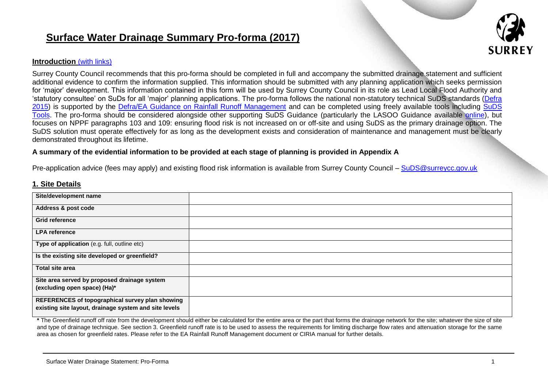# **Surface Water Drainage Summary Pro-forma (2017)**



# **Introduction** (with links)

Surrey County Council recommends that this pro-forma should be completed in full and accompany the submitted drainage statement and sufficient additional evidence to confirm the information supplied. This information should be submitted with any planning application which seeks permission for 'major' development. This information contained in this form will be used by Surrey County Council in its role as Lead Local Flood Authority and 'statutory consultee' on SuDs for all 'major' planning applications. The pro-forma follows the national non-statutory technical SuDS standards [\(Defra](https://www.gov.uk/government/uploads/system/uploads/attachment_data/file/415773/sustainable-drainage-technical-standards.pdf)  [2015\)](https://www.gov.uk/government/uploads/system/uploads/attachment_data/file/415773/sustainable-drainage-technical-standards.pdf) is supported by the [Defra/EA Guidance on Rainfall Runoff Management](https://www.gov.uk/government/publications/rainfall-runoff-management-for-developments) and can be completed using freely available tools including SuDS [Tools.](http://www.uksuds.com/tools.htm) The pro-forma should be considered alongside other supporting SuDS Guidance (particularly the LASOO Guidance available [online\)](http://www.susdrain.org/files/resources/other-guidance/lasoo_non_statutory_suds_technical_standards_guidance_2016_.pdf), but focuses on NPPF paragraphs 103 and 109: ensuring flood risk is not increased on or off-site and using SuDS as the primary drainage option. The SuDS solution must operate effectively for as long as the development exists and consideration of maintenance and management must be clearly demonstrated throughout its lifetime.

#### **A summary of the evidential information to be provided at each stage of planning is provided in Appendix A**

Pre-application advice (fees may apply) and existing flood risk information is available from Surrey County Council – [SuDS@surreycc.gov.uk](mailto:SuDS@surreycc.gov.uk)

#### **1. Site Details**

| Site/development name                                 |  |
|-------------------------------------------------------|--|
| Address & post code                                   |  |
| <b>Grid reference</b>                                 |  |
| <b>LPA</b> reference                                  |  |
| Type of application (e.g. full, outline etc)          |  |
| Is the existing site developed or greenfield?         |  |
| <b>Total site area</b>                                |  |
| Site area served by proposed drainage system          |  |
| (excluding open space) (Ha)*                          |  |
| REFERENCES of topographical survey plan showing       |  |
| existing site layout, drainage system and site levels |  |

**\*** The Greenfield runoff off rate from the development should either be calculated for the entire area or the part that forms the drainage network for the site; whatever the size of site and type of drainage technique. See section 3. Greenfield runoff rate is to be used to assess the requirements for limiting discharge flow rates and attenuation storage for the same area as chosen for greenfield rates. Please refer to the EA Rainfall Runoff Management document or CIRIA manual for further details.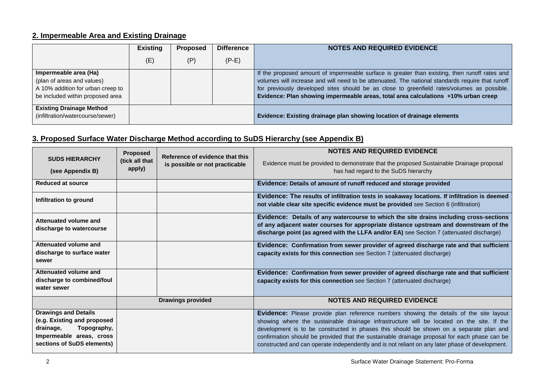# **2. Impermeable Area and Existing Drainage**

|                                   | <b>Existing</b> | Proposed | <b>Difference</b> | <b>NOTES AND REQUIRED EVIDENCE</b>                                                               |
|-----------------------------------|-----------------|----------|-------------------|--------------------------------------------------------------------------------------------------|
|                                   | $(\mathsf{E})$  | (P       | $(P-E)$           |                                                                                                  |
| Impermeable area (Ha)             |                 |          |                   | If the proposed amount of impermeable surface is greater than existing, then runoff rates and    |
| (plan of areas and values)        |                 |          |                   | volumes will increase and will need to be attenuated. The national standards require that runoff |
| A 10% addition for urban creep to |                 |          |                   | for previously developed sites should be as close to greenfield rates/volumes as possible.       |
| be included within proposed area  |                 |          |                   | Evidence: Plan showing impermeable areas, total area calculations +10% urban creep               |
| <b>Existing Drainage Method</b>   |                 |          |                   |                                                                                                  |
| (infiltration/watercourse/sewer)  |                 |          |                   | Evidence: Existing drainage plan showing location of drainage elements                           |

# **3. Proposed Surface Water Discharge Method according to SuDS Hierarchy (see Appendix B)**

| <b>SUDS HIERARCHY</b><br>(see Appendix B)                                                                                                        | Proposed<br>(tick all that<br>apply) | Reference of evidence that this<br>is possible or not practicable | <b>NOTES AND REQUIRED EVIDENCE</b><br>Evidence must be provided to demonstrate that the proposed Sustainable Drainage proposal<br>has had regard to the SuDS hierarchy                                                                                                                                                                                                                                                                                                           |
|--------------------------------------------------------------------------------------------------------------------------------------------------|--------------------------------------|-------------------------------------------------------------------|----------------------------------------------------------------------------------------------------------------------------------------------------------------------------------------------------------------------------------------------------------------------------------------------------------------------------------------------------------------------------------------------------------------------------------------------------------------------------------|
| Reduced at source                                                                                                                                |                                      |                                                                   | Evidence: Details of amount of runoff reduced and storage provided                                                                                                                                                                                                                                                                                                                                                                                                               |
| Infiltration to ground                                                                                                                           |                                      |                                                                   | Evidence: The results of infiltration tests in soakaway locations. If infiltration is deemed<br>not viable clear site specific evidence must be provided see Section 6 (infiltration)                                                                                                                                                                                                                                                                                            |
| Attenuated volume and<br>discharge to watercourse                                                                                                |                                      |                                                                   | Evidence: Details of any watercourse to which the site drains including cross-sections<br>of any adjacent water courses for appropriate distance upstream and downstream of the<br>discharge point (as agreed with the LLFA and/or EA) see Section 7 (attenuated discharge)                                                                                                                                                                                                      |
| Attenuated volume and<br>discharge to surface water<br>sewer                                                                                     |                                      |                                                                   | Evidence: Confirmation from sewer provider of agreed discharge rate and that sufficient<br>capacity exists for this connection see Section 7 (attenuated discharge)                                                                                                                                                                                                                                                                                                              |
| Attenuated volume and<br>discharge to combined/foul<br>water sewer                                                                               |                                      |                                                                   | Evidence: Confirmation from sewer provider of agreed discharge rate and that sufficient<br>capacity exists for this connection see Section 7 (attenuated discharge)                                                                                                                                                                                                                                                                                                              |
|                                                                                                                                                  |                                      | <b>Drawings provided</b>                                          | <b>NOTES AND REQUIRED EVIDENCE</b>                                                                                                                                                                                                                                                                                                                                                                                                                                               |
| <b>Drawings and Details</b><br>(e.g. Existing and proposed<br>Topography,<br>drainage,<br>Impermeable areas, cross<br>sections of SuDS elements) |                                      |                                                                   | Evidence: Please provide plan reference numbers showing the details of the site layout<br>showing where the sustainable drainage infrastructure will be located on the site. If the<br>development is to be constructed in phases this should be shown on a separate plan and<br>confirmation should be provided that the sustainable drainage proposal for each phase can be<br>constructed and can operate independently and is not reliant on any later phase of development. |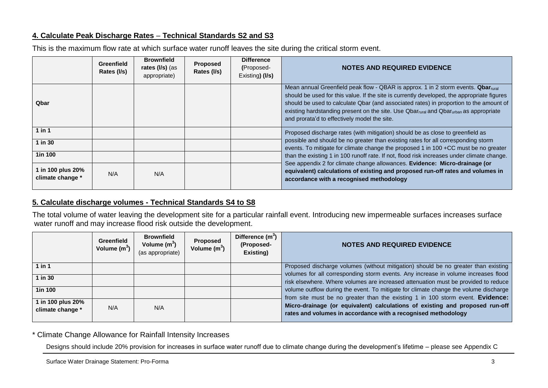# **4. Calculate Peak Discharge Rates** – **Technical Standards S2 and S3**

This is the maximum flow rate at which surface water runoff leaves the site during the critical storm event.

|                                       | <b>Greenfield</b><br>Rates (I/s) | <b>Brownfield</b><br>rates $(1/s)$ (as<br>appropriate) | Proposed<br>Rates (I/s) | <b>Difference</b><br>(Proposed-<br>Existing) (I/s) | <b>NOTES AND REQUIRED EVIDENCE</b>                                                                                                                                                                                                                                                                                                                                                                                             |
|---------------------------------------|----------------------------------|--------------------------------------------------------|-------------------------|----------------------------------------------------|--------------------------------------------------------------------------------------------------------------------------------------------------------------------------------------------------------------------------------------------------------------------------------------------------------------------------------------------------------------------------------------------------------------------------------|
| Qbar                                  |                                  |                                                        |                         |                                                    | Mean annual Greenfield peak flow - QBAR is approx. 1 in 2 storm events. Qbar <sub>rural</sub><br>should be used for this value. If the site is currently developed, the appropriate figures<br>should be used to calculate Qbar (and associated rates) in proportion to the amount of<br>existing hardstanding present on the site. Use Qbarrural and Qbarurban as appropriate<br>and prorata'd to effectively model the site. |
| 1 in 1                                |                                  |                                                        |                         |                                                    | Proposed discharge rates (with mitigation) should be as close to greenfield as                                                                                                                                                                                                                                                                                                                                                 |
| 1 in 30                               |                                  |                                                        |                         |                                                    | possible and should be no greater than existing rates for all corresponding storm<br>events. To mitigate for climate change the proposed 1 in 100 +CC must be no greater                                                                                                                                                                                                                                                       |
| 1in 100                               |                                  |                                                        |                         |                                                    | than the existing 1 in 100 runoff rate. If not, flood risk increases under climate change.                                                                                                                                                                                                                                                                                                                                     |
| 1 in 100 plus 20%<br>climate change * | N/A                              | N/A                                                    |                         |                                                    | See appendix 2 for climate change allowances. Evidence: Micro-drainage (or<br>equivalent) calculations of existing and proposed run-off rates and volumes in<br>accordance with a recognised methodology                                                                                                                                                                                                                       |

# **5. Calculate discharge volumes - Technical Standards S4 to S8**

The total volume of water leaving the development site for a particular rainfall event. Introducing new impermeable surfaces increases surface water runoff and may increase flood risk outside the development.

|                                       | <b>Greenfield</b><br>Volume $(m^3)$ | <b>Brownfield</b><br>Volume $(m^3)$<br>(as appropriate) | <b>Proposed</b><br>Volume $(m^3)$ | Difference $(m^3)$<br>(Proposed-<br>Existing) | <b>NOTES AND REQUIRED EVIDENCE</b>                                                                                                                                       |
|---------------------------------------|-------------------------------------|---------------------------------------------------------|-----------------------------------|-----------------------------------------------|--------------------------------------------------------------------------------------------------------------------------------------------------------------------------|
| $1$ in $1$                            |                                     |                                                         |                                   |                                               | Proposed discharge volumes (without mitigation) should be no greater than existing<br>volumes for all corresponding storm events. Any increase in volume increases flood |
| $1$ in $30$                           |                                     |                                                         |                                   |                                               | risk elsewhere. Where volumes are increased attenuation must be provided to reduce                                                                                       |
| <b>1in 100</b>                        |                                     |                                                         |                                   |                                               | volume outflow during the event. To mitigate for climate change the volume discharge<br>from site must be no greater than the existing 1 in 100 storm event. Evidence:   |
| 1 in 100 plus 20%<br>climate change * | N/A                                 | N/A                                                     |                                   |                                               | Micro-drainage (or equivalent) calculations of existing and proposed run-off<br>rates and volumes in accordance with a recognised methodology                            |

\* Climate Change Allowance for Rainfall Intensity Increases

Designs should include 20% provision for increases in surface water runoff due to climate change during the development's lifetime – please see Appendix C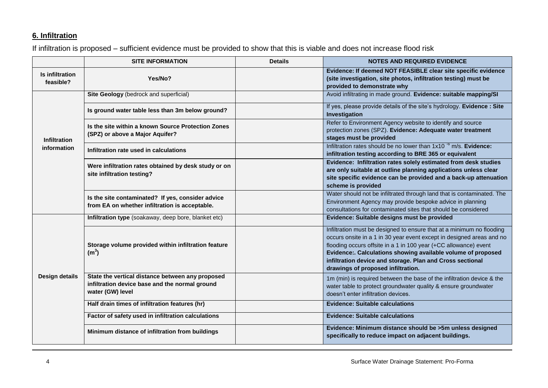# **6. Infiltration**

If infiltration is proposed – sufficient evidence must be provided to show that this is viable and does not increase flood risk

|                              | <b>SITE INFORMATION</b>                                                                                                | <b>Details</b>                                                                                                                                                                                                               | <b>NOTES AND REQUIRED EVIDENCE</b>                                                                                                                                                                                                                                                                                                                                                    |
|------------------------------|------------------------------------------------------------------------------------------------------------------------|------------------------------------------------------------------------------------------------------------------------------------------------------------------------------------------------------------------------------|---------------------------------------------------------------------------------------------------------------------------------------------------------------------------------------------------------------------------------------------------------------------------------------------------------------------------------------------------------------------------------------|
| Is infiltration<br>feasible? | Yes/No?                                                                                                                |                                                                                                                                                                                                                              | Evidence: If deemed NOT FEASIBLE clear site specific evidence<br>(site investigation, site photos, infiltration testing) must be<br>provided to demonstrate why                                                                                                                                                                                                                       |
|                              | Site Geology (bedrock and superficial)                                                                                 |                                                                                                                                                                                                                              | Avoid infiltrating in made ground. Evidence: suitable mapping/SI                                                                                                                                                                                                                                                                                                                      |
|                              | Is ground water table less than 3m below ground?                                                                       |                                                                                                                                                                                                                              | If yes, please provide details of the site's hydrology. Evidence: Site<br>Investigation                                                                                                                                                                                                                                                                                               |
| <b>Infiltration</b>          | Is the site within a known Source Protection Zones<br>(SPZ) or above a Major Aquifer?                                  |                                                                                                                                                                                                                              | Refer to Environment Agency website to identify and source<br>protection zones (SPZ). Evidence: Adequate water treatment<br>stages must be provided                                                                                                                                                                                                                                   |
| information                  | Infiltration rate used in calculations                                                                                 |                                                                                                                                                                                                                              | Infiltration rates should be no lower than $1x10^{-6}$ m/s. Evidence:<br>infiltration testing according to BRE 365 or equivalent                                                                                                                                                                                                                                                      |
|                              | Were infiltration rates obtained by desk study or on<br>site infiltration testing?                                     | Evidence: Infiltration rates solely estimated from desk studies<br>are only suitable at outline planning applications unless clear<br>site specific evidence can be provided and a back-up attenuation<br>scheme is provided |                                                                                                                                                                                                                                                                                                                                                                                       |
|                              | Is the site contaminated? If yes, consider advice<br>from EA on whether infiltration is acceptable.                    | Water should not be infiltrated through land that is contaminated. The<br>Environment Agency may provide bespoke advice in planning<br>consultations for contaminated sites that should be considered                        |                                                                                                                                                                                                                                                                                                                                                                                       |
|                              | Infiltration type (soakaway, deep bore, blanket etc)                                                                   |                                                                                                                                                                                                                              | Evidence: Suitable designs must be provided                                                                                                                                                                                                                                                                                                                                           |
|                              | Storage volume provided within infiltration feature<br>(m <sup>3</sup> )                                               |                                                                                                                                                                                                                              | Infiltration must be designed to ensure that at a minimum no flooding<br>occurs onsite in a 1 in 30 year event except in designed areas and no<br>flooding occurs offsite in a 1 in 100 year (+CC allowance) event<br>Evidence:. Calculations showing available volume of proposed<br>infiltration device and storage. Plan and Cross sectional<br>drawings of proposed infiltration. |
| <b>Design details</b>        | State the vertical distance between any proposed<br>infiltration device base and the normal ground<br>water (GW) level |                                                                                                                                                                                                                              | 1m (min) is required between the base of the infiltration device & the<br>water table to protect groundwater quality & ensure groundwater<br>doesn't enter infiltration devices.                                                                                                                                                                                                      |
|                              | Half drain times of infiltration features (hr)                                                                         |                                                                                                                                                                                                                              | <b>Evidence: Suitable calculations</b>                                                                                                                                                                                                                                                                                                                                                |
|                              | Factor of safety used in infiltration calculations                                                                     |                                                                                                                                                                                                                              | <b>Evidence: Suitable calculations</b>                                                                                                                                                                                                                                                                                                                                                |
|                              | Minimum distance of infiltration from buildings                                                                        | Evidence: Minimum distance should be >5m unless designed<br>specifically to reduce impact on adjacent buildings.                                                                                                             |                                                                                                                                                                                                                                                                                                                                                                                       |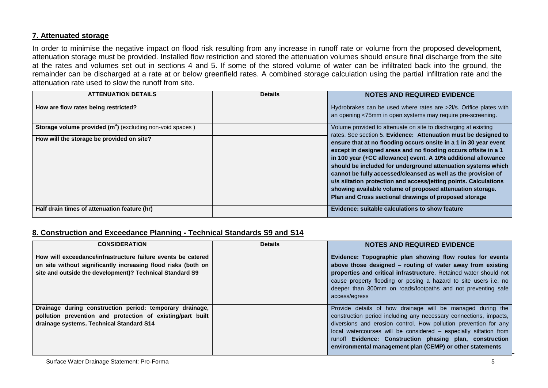# **7. Attenuated storage**

In order to minimise the negative impact on flood risk resulting from any increase in runoff rate or volume from the proposed development, attenuation storage must be provided. Installed flow restriction and stored the attenuation volumes should ensure final discharge from the site at the rates and volumes set out in sections 4 and 5. If some of the stored volume of water can be infiltrated back into the ground, the remainder can be discharged at a rate at or below greenfield rates. A combined storage calculation using the partial infiltration rate and the attenuation rate used to slow the runoff from site.

| <b>ATTENUATION DETAILS</b>                                                 | <b>Details</b> | <b>NOTES AND REQUIRED EVIDENCE</b>                                                                                                                                                                                                                                                                                                                                                                                                                                                                                             |
|----------------------------------------------------------------------------|----------------|--------------------------------------------------------------------------------------------------------------------------------------------------------------------------------------------------------------------------------------------------------------------------------------------------------------------------------------------------------------------------------------------------------------------------------------------------------------------------------------------------------------------------------|
| How are flow rates being restricted?                                       |                | Hydrobrakes can be used where rates are >2l/s. Orifice plates with<br>an opening <75mm in open systems may require pre-screening.                                                                                                                                                                                                                                                                                                                                                                                              |
| <b>Storage volume provided (m<sup>3</sup>)</b> (excluding non-void spaces) |                | Volume provided to attenuate on site to discharging at existing<br>rates. See section 5. Evidence: Attenuation must be designed to                                                                                                                                                                                                                                                                                                                                                                                             |
| How will the storage be provided on site?                                  |                | ensure that at no flooding occurs onsite in a 1 in 30 year event<br>except in designed areas and no flooding occurs offsite in a 1<br>in 100 year (+CC allowance) event. A 10% additional allowance<br>should be included for underground attenuation systems which<br>cannot be fully accessed/cleansed as well as the provision of<br>u/s siltation protection and access/jetting points. Calculations<br>showing available volume of proposed attenuation storage.<br>Plan and Cross sectional drawings of proposed storage |
| Half drain times of attenuation feature (hr)                               |                | Evidence: suitable calculations to show feature                                                                                                                                                                                                                                                                                                                                                                                                                                                                                |

# **8. Construction and Exceedance Planning - Technical Standards S9 and S14**

| <b>CONSIDERATION</b>                                                                                                                                                                      | <b>Details</b> | <b>NOTES AND REQUIRED EVIDENCE</b>                                                                                                                                                                                                                                                                                                                                                               |
|-------------------------------------------------------------------------------------------------------------------------------------------------------------------------------------------|----------------|--------------------------------------------------------------------------------------------------------------------------------------------------------------------------------------------------------------------------------------------------------------------------------------------------------------------------------------------------------------------------------------------------|
| How will exceedance/infrastructure failure events be catered<br>on site without significantly increasing flood risks (both on<br>site and outside the development)? Technical Standard S9 |                | Evidence: Topographic plan showing flow routes for events<br>above those designed - routing of water away from existing<br>properties and critical infrastructure. Retained water should not<br>cause property flooding or posing a hazard to site users i.e. no<br>deeper than 300mm on roads/footpaths and not preventing safe<br>access/egress                                                |
| Drainage during construction period: temporary drainage,<br>pollution prevention and protection of existing/part built<br>drainage systems. Technical Standard S14                        |                | Provide details of how drainage will be managed during the<br>construction period including any necessary connections, impacts,<br>diversions and erosion control. How pollution prevention for any<br>local watercourses will be considered - especially siltation from<br>runoff Evidence: Construction phasing plan, construction<br>environmental management plan (CEMP) or other statements |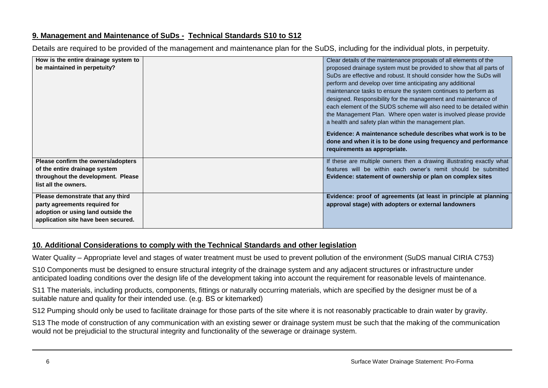# **9. Management and Maintenance of SuDs - Technical Standards S10 to S12**

Details are required to be provided of the management and maintenance plan for the SuDS, including for the individual plots, in perpetuity.

| How is the entire drainage system to | Clear details of the maintenance proposals of all elements of the     |
|--------------------------------------|-----------------------------------------------------------------------|
| be maintained in perpetuity?         | proposed drainage system must be provided to show that all parts of   |
|                                      | SuDs are effective and robust. It should consider how the SuDs will   |
|                                      | perform and develop over time anticipating any additional             |
|                                      | maintenance tasks to ensure the system continues to perform as        |
|                                      | designed. Responsibility for the management and maintenance of        |
|                                      | each element of the SUDS scheme will also need to be detailed within  |
|                                      | the Management Plan. Where open water is involved please provide      |
|                                      | a health and safety plan within the management plan.                  |
|                                      | Evidence: A maintenance schedule describes what work is to be         |
|                                      | done and when it is to be done using frequency and performance        |
|                                      | requirements as appropriate.                                          |
|                                      |                                                                       |
| Please confirm the owners/adopters   | If these are multiple owners then a drawing illustrating exactly what |
| of the entire drainage system        | features will be within each owner's remit should be submitted        |
| throughout the development. Please   | Evidence: statement of ownership or plan on complex sites             |
| list all the owners.                 |                                                                       |
| Please demonstrate that any third    | Evidence: proof of agreements (at least in principle at planning      |
| party agreements required for        | approval stage) with adopters or external landowners                  |
| adoption or using land outside the   |                                                                       |
| application site have been secured.  |                                                                       |
|                                      |                                                                       |

# **10. Additional Considerations to comply with the Technical Standards and other legislation**

Water Quality – Appropriate level and stages of water treatment must be used to prevent pollution of the environment (SuDS manual CIRIA C753)

S10 Components must be designed to ensure structural integrity of the drainage system and any adjacent structures or infrastructure under anticipated loading conditions over the design life of the development taking into account the requirement for reasonable levels of maintenance.

S11 The materials, including products, components, fittings or naturally occurring materials, which are specified by the designer must be of a suitable nature and quality for their intended use. (e.g. BS or kitemarked)

S12 Pumping should only be used to facilitate drainage for those parts of the site where it is not reasonably practicable to drain water by gravity.

S13 The mode of construction of any communication with an existing sewer or drainage system must be such that the making of the communication would not be prejudicial to the structural integrity and functionality of the sewerage or drainage system.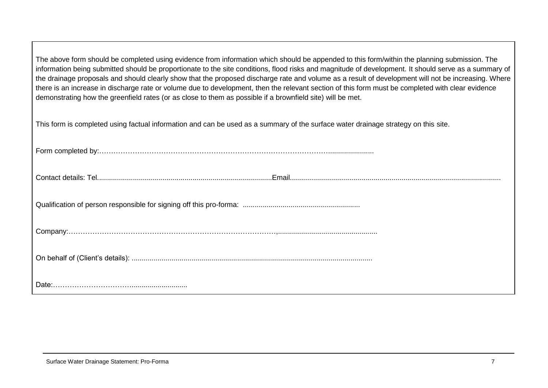The above form should be completed using evidence from information which should be appended to this form/within the planning submission. The information being submitted should be proportionate to the site conditions, flood risks and magnitude of development. It should serve as a summary of the drainage proposals and should clearly show that the proposed discharge rate and volume as a result of development will not be increasing. Where there is an increase in discharge rate or volume due to development, then the relevant section of this form must be completed with clear evidence demonstrating how the greenfield rates (or as close to them as possible if a brownfield site) will be met.

This form is completed using factual information and can be used as a summary of the surface water drainage strategy on this site.

| $\label{eq:comp} \textbf{Company}:\textcolor{red}{\textbf{company}}:\textcolor{red}{\textbf{company}}:\textcolor{red}{\textbf{company}}:\textcolor{red}{\textbf{company}}:\textcolor{red}{\textbf{company}}:\textcolor{red}{\textbf{company}}:\textcolor{red}{\textbf{company}}:\textcolor{red}{\textbf{company}}:\textcolor{red}{\textbf{company}}:\textcolor{red}{\textbf{company}}:\textcolor{red}{\textbf{company}}:\textcolor{red}{\textbf{company}}:\textcolor{red}{\textbf{company}}:\textcolor{red}{\textbf{company}}:\textcolor{red}{\textbf{company}}:\textcolor{red}{\textbf{comp$ |
|-----------------------------------------------------------------------------------------------------------------------------------------------------------------------------------------------------------------------------------------------------------------------------------------------------------------------------------------------------------------------------------------------------------------------------------------------------------------------------------------------------------------------------------------------------------------------------------------------|
|                                                                                                                                                                                                                                                                                                                                                                                                                                                                                                                                                                                               |
|                                                                                                                                                                                                                                                                                                                                                                                                                                                                                                                                                                                               |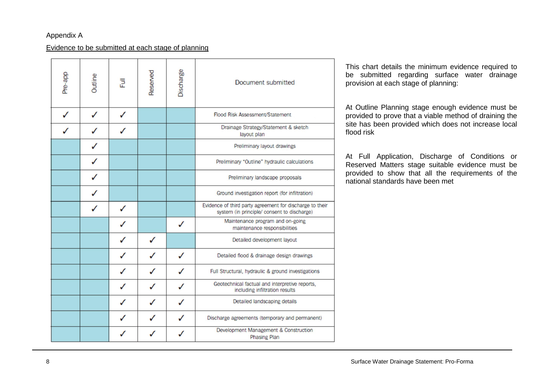### Appendix A

#### Evidence to be submitted at each stage of planning

| Pre-app | Outline | 큔 | Reserved | Discharge | Document submitted                                                                                      |
|---------|---------|---|----------|-----------|---------------------------------------------------------------------------------------------------------|
| J       | J       | J |          |           | Flood Risk Assessment/Statement                                                                         |
|         |         |   |          |           | Drainage Strategy/Statement & sketch<br>layout plan                                                     |
|         |         |   |          |           | Preliminary layout drawings                                                                             |
|         |         |   |          |           | Preliminary "Outline" hydraulic calculations                                                            |
|         |         |   |          |           | Preliminary landscape proposals                                                                         |
|         |         |   |          |           | Ground investigation report (for infiltration)                                                          |
|         |         |   |          |           | Evidence of third party agreement for discharge to their<br>system (in principle/ consent to discharge) |
|         |         |   |          | ✓         | Maintenance program and on-going<br>maintenance responsibilities                                        |
|         |         |   |          |           | Detailed development layout                                                                             |
|         |         |   |          | J         | Detailed flood & drainage design drawings                                                               |
|         |         | J |          | J         | Full Structural, hydraulic & ground investigations                                                      |
|         |         | J |          | ✓         | Geotechnical factual and interpretive reports,<br>including infiltration results                        |
|         |         |   |          | J         | Detailed landscaping details                                                                            |
|         |         |   |          | ✓         | Discharge agreements (temporary and permanent)                                                          |
|         |         |   |          | J         | Development Management & Construction<br><b>Phasing Plan</b>                                            |

This chart details the minimum evidence required to be submitted regarding surface water drainage provision at each stage of planning:

At Outline Planning stage enough evidence must be provided to prove that a viable method of draining the site has been provided which does not increase local flood risk

At Full Application, Discharge of Conditions or Reserved Matters stage suitable evidence must be provided to show that all the requirements of the national standards have been met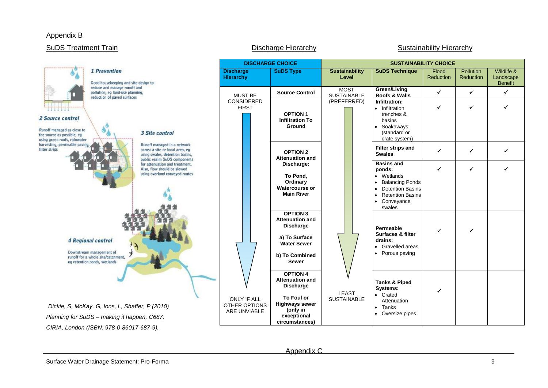#### Appendix B

## SuDS Treatment Train **Discharge Hierarchy** Discharge Hierarchy Sustainability Hierarchy



Appendix C